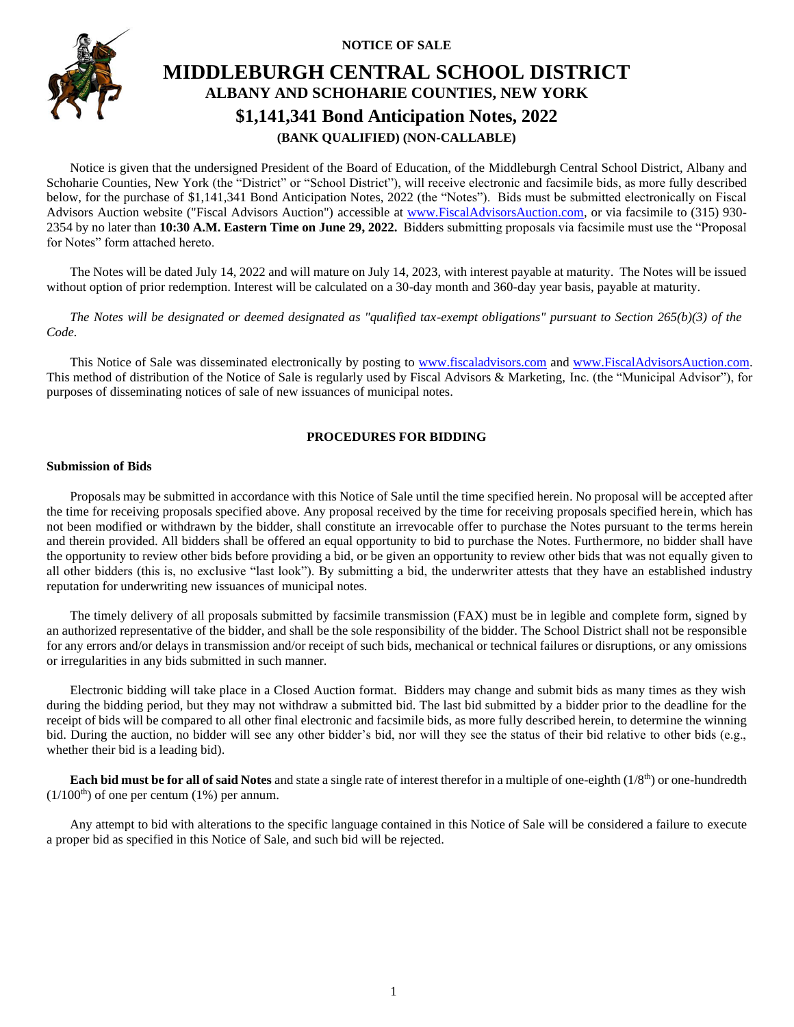**NOTICE OF SALE**



# **MIDDLEBURGH CENTRAL SCHOOL DISTRICT ALBANY AND SCHOHARIE COUNTIES, NEW YORK \$1,141,341 Bond Anticipation Notes, 2022 (BANK QUALIFIED) (NON-CALLABLE)**

Notice is given that the undersigned President of the Board of Education, of the Middleburgh Central School District, Albany and Schoharie Counties, New York (the "District" or "School District"), will receive electronic and facsimile bids, as more fully described below, for the purchase of \$1,141,341 Bond Anticipation Notes, 2022 (the "Notes"). Bids must be submitted electronically on Fiscal Advisors Auction website ("Fiscal Advisors Auction") accessible at [www.FiscalAdvisorsAuction.com,](http://www.fiscaladvisorsauction.com/) or via facsimile to (315) 930- 2354 by no later than **10:30 A.M. Eastern Time on June 29, 2022.** Bidders submitting proposals via facsimile must use the "Proposal for Notes" form attached hereto.

The Notes will be dated July 14, 2022 and will mature on July 14, 2023, with interest payable at maturity. The Notes will be issued without option of prior redemption. Interest will be calculated on a 30-day month and 360-day year basis, payable at maturity.

*The Notes will be designated or deemed designated as "qualified tax-exempt obligations" pursuant to Section 265(b)(3) of the Code.*

This Notice of Sale was disseminated electronically by posting to [www.fiscaladvisors.com](http://www.fiscaladvisors.com/) and [www.FiscalAdvisorsAuction.com.](http://www.fiscaladvisorsauction.com/) This method of distribution of the Notice of Sale is regularly used by Fiscal Advisors & Marketing, Inc. (the "Municipal Advisor"), for purposes of disseminating notices of sale of new issuances of municipal notes.

### **PROCEDURES FOR BIDDING**

#### **Submission of Bids**

Proposals may be submitted in accordance with this Notice of Sale until the time specified herein. No proposal will be accepted after the time for receiving proposals specified above. Any proposal received by the time for receiving proposals specified herein, which has not been modified or withdrawn by the bidder, shall constitute an irrevocable offer to purchase the Notes pursuant to the terms herein and therein provided. All bidders shall be offered an equal opportunity to bid to purchase the Notes. Furthermore, no bidder shall have the opportunity to review other bids before providing a bid, or be given an opportunity to review other bids that was not equally given to all other bidders (this is, no exclusive "last look"). By submitting a bid, the underwriter attests that they have an established industry reputation for underwriting new issuances of municipal notes.

The timely delivery of all proposals submitted by facsimile transmission (FAX) must be in legible and complete form, signed by an authorized representative of the bidder, and shall be the sole responsibility of the bidder. The School District shall not be responsible for any errors and/or delays in transmission and/or receipt of such bids, mechanical or technical failures or disruptions, or any omissions or irregularities in any bids submitted in such manner.

Electronic bidding will take place in a Closed Auction format. Bidders may change and submit bids as many times as they wish during the bidding period, but they may not withdraw a submitted bid. The last bid submitted by a bidder prior to the deadline for the receipt of bids will be compared to all other final electronic and facsimile bids, as more fully described herein, to determine the winning bid. During the auction, no bidder will see any other bidder's bid, nor will they see the status of their bid relative to other bids (e.g., whether their bid is a leading bid).

**Each bid must be for all of said Notes** and state a single rate of interest therefor in a multiple of one-eighth (1/8<sup>th</sup>) or one-hundredth  $(1/100<sup>th</sup>)$  of one per centum  $(1%)$  per annum.

Any attempt to bid with alterations to the specific language contained in this Notice of Sale will be considered a failure to execute a proper bid as specified in this Notice of Sale, and such bid will be rejected.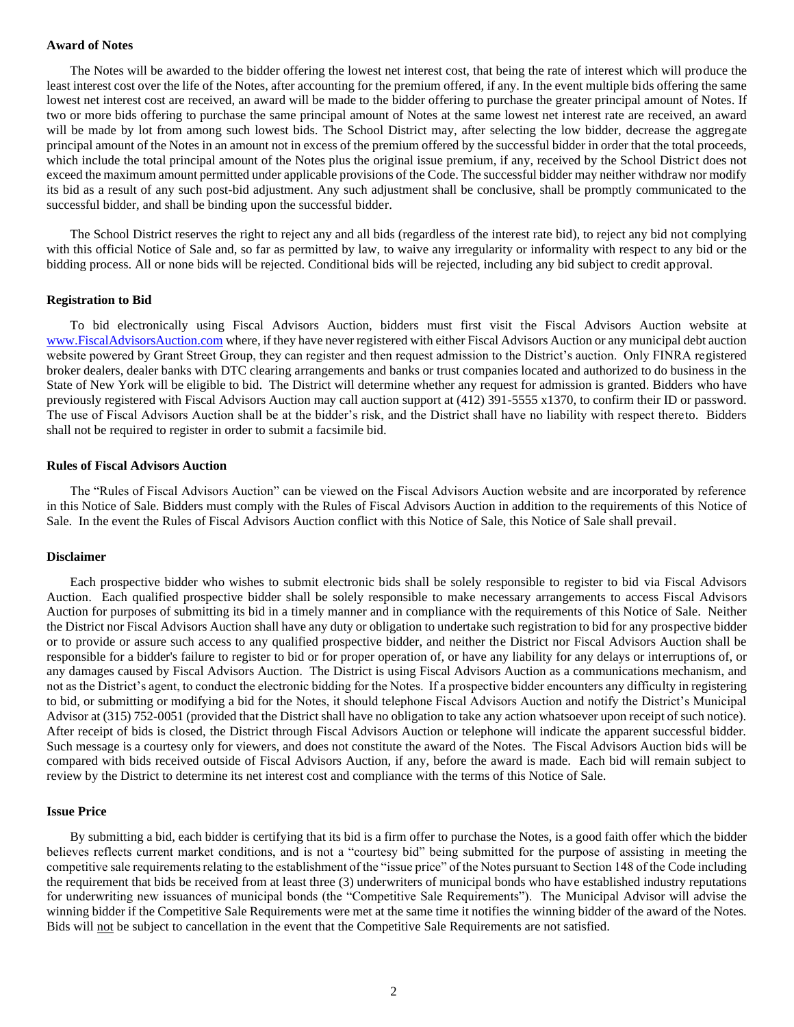#### **Award of Notes**

The Notes will be awarded to the bidder offering the lowest net interest cost, that being the rate of interest which will produce the least interest cost over the life of the Notes, after accounting for the premium offered, if any. In the event multiple bids offering the same lowest net interest cost are received, an award will be made to the bidder offering to purchase the greater principal amount of Notes. If two or more bids offering to purchase the same principal amount of Notes at the same lowest net interest rate are received, an award will be made by lot from among such lowest bids. The School District may, after selecting the low bidder, decrease the aggregate principal amount of the Notes in an amount not in excess of the premium offered by the successful bidder in order that the total proceeds, which include the total principal amount of the Notes plus the original issue premium, if any, received by the School District does not exceed the maximum amount permitted under applicable provisions of the Code. The successful bidder may neither withdraw nor modify its bid as a result of any such post-bid adjustment. Any such adjustment shall be conclusive, shall be promptly communicated to the successful bidder, and shall be binding upon the successful bidder.

The School District reserves the right to reject any and all bids (regardless of the interest rate bid), to reject any bid not complying with this official Notice of Sale and, so far as permitted by law, to waive any irregularity or informality with respect to any bid or the bidding process. All or none bids will be rejected. Conditional bids will be rejected, including any bid subject to credit approval.

#### **Registration to Bid**

To bid electronically using Fiscal Advisors Auction, bidders must first visit the Fiscal Advisors Auction website at [www.FiscalAdvisorsAuction.com](http://www.fiscaladvisorsauction.com/) where, if they have never registered with either Fiscal Advisors Auction or any municipal debt auction website powered by Grant Street Group, they can register and then request admission to the District's auction. Only FINRA registered broker dealers, dealer banks with DTC clearing arrangements and banks or trust companies located and authorized to do business in the State of New York will be eligible to bid. The District will determine whether any request for admission is granted. Bidders who have previously registered with Fiscal Advisors Auction may call auction support at (412) 391-5555 x1370, to confirm their ID or password. The use of Fiscal Advisors Auction shall be at the bidder's risk, and the District shall have no liability with respect thereto. Bidders shall not be required to register in order to submit a facsimile bid.

#### **Rules of Fiscal Advisors Auction**

The "Rules of Fiscal Advisors Auction" can be viewed on the Fiscal Advisors Auction website and are incorporated by reference in this Notice of Sale. Bidders must comply with the Rules of Fiscal Advisors Auction in addition to the requirements of this Notice of Sale. In the event the Rules of Fiscal Advisors Auction conflict with this Notice of Sale, this Notice of Sale shall prevail.

#### **Disclaimer**

Each prospective bidder who wishes to submit electronic bids shall be solely responsible to register to bid via Fiscal Advisors Auction. Each qualified prospective bidder shall be solely responsible to make necessary arrangements to access Fiscal Advisors Auction for purposes of submitting its bid in a timely manner and in compliance with the requirements of this Notice of Sale. Neither the District nor Fiscal Advisors Auction shall have any duty or obligation to undertake such registration to bid for any prospective bidder or to provide or assure such access to any qualified prospective bidder, and neither the District nor Fiscal Advisors Auction shall be responsible for a bidder's failure to register to bid or for proper operation of, or have any liability for any delays or interruptions of, or any damages caused by Fiscal Advisors Auction. The District is using Fiscal Advisors Auction as a communications mechanism, and not as the District's agent, to conduct the electronic bidding for the Notes. If a prospective bidder encounters any difficulty in registering to bid, or submitting or modifying a bid for the Notes, it should telephone Fiscal Advisors Auction and notify the District's Municipal Advisor at (315) 752-0051 (provided that the District shall have no obligation to take any action whatsoever upon receipt of such notice). After receipt of bids is closed, the District through Fiscal Advisors Auction or telephone will indicate the apparent successful bidder. Such message is a courtesy only for viewers, and does not constitute the award of the Notes. The Fiscal Advisors Auction bids will be compared with bids received outside of Fiscal Advisors Auction, if any, before the award is made. Each bid will remain subject to review by the District to determine its net interest cost and compliance with the terms of this Notice of Sale.

#### **Issue Price**

By submitting a bid, each bidder is certifying that its bid is a firm offer to purchase the Notes, is a good faith offer which the bidder believes reflects current market conditions, and is not a "courtesy bid" being submitted for the purpose of assisting in meeting the competitive sale requirements relating to the establishment of the "issue price" of the Notes pursuant to Section 148 of the Code including the requirement that bids be received from at least three (3) underwriters of municipal bonds who have established industry reputations for underwriting new issuances of municipal bonds (the "Competitive Sale Requirements"). The Municipal Advisor will advise the winning bidder if the Competitive Sale Requirements were met at the same time it notifies the winning bidder of the award of the Notes. Bids will not be subject to cancellation in the event that the Competitive Sale Requirements are not satisfied.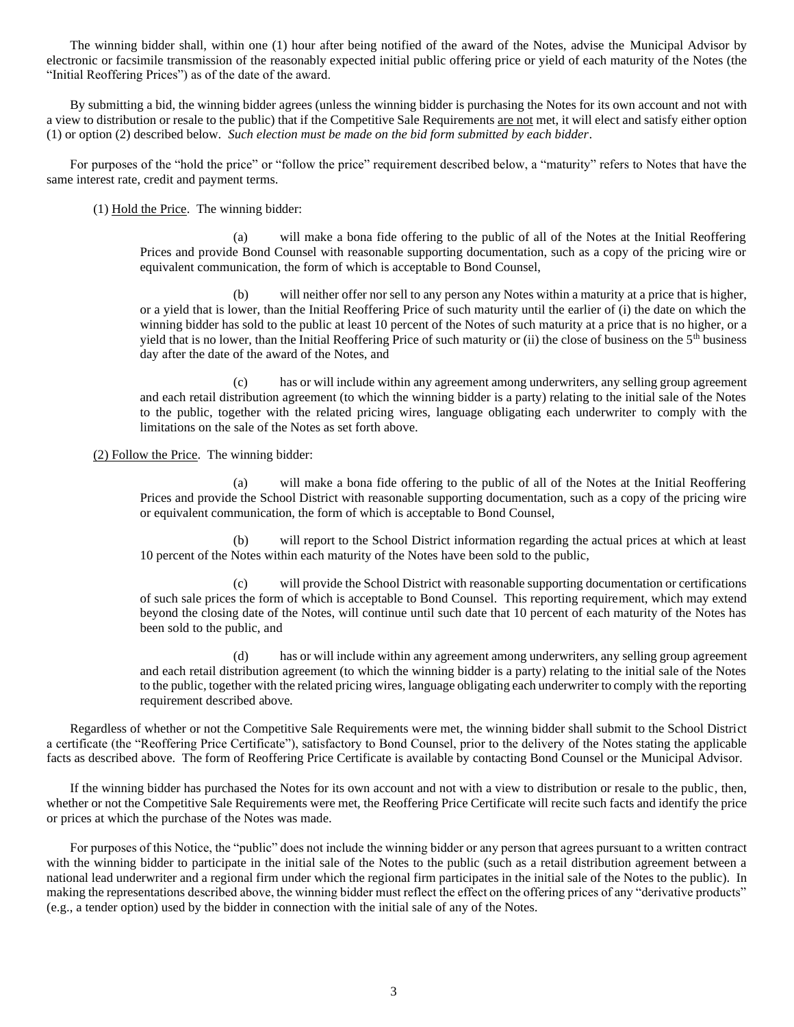The winning bidder shall, within one (1) hour after being notified of the award of the Notes, advise the Municipal Advisor by electronic or facsimile transmission of the reasonably expected initial public offering price or yield of each maturity of the Notes (the "Initial Reoffering Prices") as of the date of the award.

By submitting a bid, the winning bidder agrees (unless the winning bidder is purchasing the Notes for its own account and not with a view to distribution or resale to the public) that if the Competitive Sale Requirements are not met, it will elect and satisfy either option (1) or option (2) described below. *Such election must be made on the bid form submitted by each bidder*.

For purposes of the "hold the price" or "follow the price" requirement described below, a "maturity" refers to Notes that have the same interest rate, credit and payment terms.

(1) Hold the Price. The winning bidder:

(a) will make a bona fide offering to the public of all of the Notes at the Initial Reoffering Prices and provide Bond Counsel with reasonable supporting documentation, such as a copy of the pricing wire or equivalent communication, the form of which is acceptable to Bond Counsel,

(b) will neither offer nor sell to any person any Notes within a maturity at a price that is higher, or a yield that is lower, than the Initial Reoffering Price of such maturity until the earlier of (i) the date on which the winning bidder has sold to the public at least 10 percent of the Notes of such maturity at a price that is no higher, or a yield that is no lower, than the Initial Reoffering Price of such maturity or (ii) the close of business on the  $5<sup>th</sup>$  business day after the date of the award of the Notes, and

(c) has or will include within any agreement among underwriters, any selling group agreement and each retail distribution agreement (to which the winning bidder is a party) relating to the initial sale of the Notes to the public, together with the related pricing wires, language obligating each underwriter to comply with the limitations on the sale of the Notes as set forth above.

(2) Follow the Price. The winning bidder:

(a) will make a bona fide offering to the public of all of the Notes at the Initial Reoffering Prices and provide the School District with reasonable supporting documentation, such as a copy of the pricing wire or equivalent communication, the form of which is acceptable to Bond Counsel,

(b) will report to the School District information regarding the actual prices at which at least 10 percent of the Notes within each maturity of the Notes have been sold to the public,

(c) will provide the School District with reasonable supporting documentation or certifications of such sale prices the form of which is acceptable to Bond Counsel. This reporting requirement, which may extend beyond the closing date of the Notes, will continue until such date that 10 percent of each maturity of the Notes has been sold to the public, and

(d) has or will include within any agreement among underwriters, any selling group agreement and each retail distribution agreement (to which the winning bidder is a party) relating to the initial sale of the Notes to the public, together with the related pricing wires, language obligating each underwriter to comply with the reporting requirement described above.

Regardless of whether or not the Competitive Sale Requirements were met, the winning bidder shall submit to the School District a certificate (the "Reoffering Price Certificate"), satisfactory to Bond Counsel, prior to the delivery of the Notes stating the applicable facts as described above. The form of Reoffering Price Certificate is available by contacting Bond Counsel or the Municipal Advisor.

If the winning bidder has purchased the Notes for its own account and not with a view to distribution or resale to the public, then, whether or not the Competitive Sale Requirements were met, the Reoffering Price Certificate will recite such facts and identify the price or prices at which the purchase of the Notes was made.

For purposes of this Notice, the "public" does not include the winning bidder or any person that agrees pursuant to a written contract with the winning bidder to participate in the initial sale of the Notes to the public (such as a retail distribution agreement between a national lead underwriter and a regional firm under which the regional firm participates in the initial sale of the Notes to the public). In making the representations described above, the winning bidder must reflect the effect on the offering prices of any "derivative products" (e.g., a tender option) used by the bidder in connection with the initial sale of any of the Notes.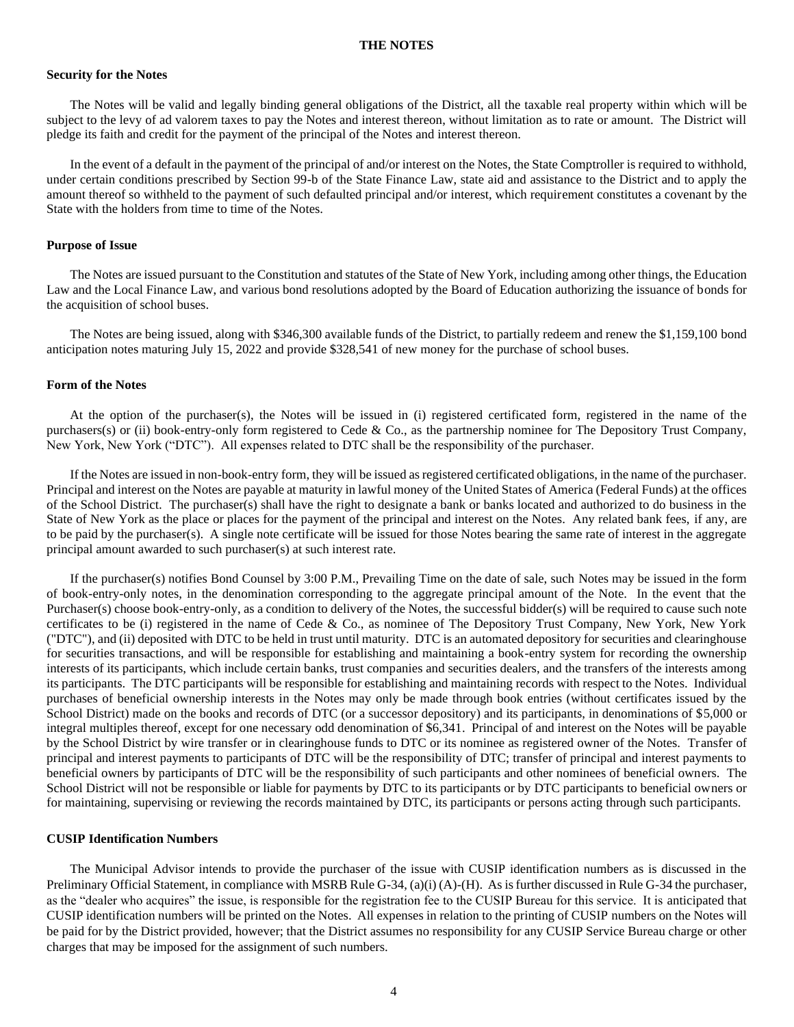#### **THE NOTES**

#### **Security for the Notes**

The Notes will be valid and legally binding general obligations of the District, all the taxable real property within which will be subject to the levy of ad valorem taxes to pay the Notes and interest thereon, without limitation as to rate or amount. The District will pledge its faith and credit for the payment of the principal of the Notes and interest thereon.

In the event of a default in the payment of the principal of and/or interest on the Notes, the State Comptroller is required to withhold, under certain conditions prescribed by Section 99-b of the State Finance Law, state aid and assistance to the District and to apply the amount thereof so withheld to the payment of such defaulted principal and/or interest, which requirement constitutes a covenant by the State with the holders from time to time of the Notes.

#### **Purpose of Issue**

The Notes are issued pursuant to the Constitution and statutes of the State of New York, including among other things, the Education Law and the Local Finance Law, and various bond resolutions adopted by the Board of Education authorizing the issuance of bonds for the acquisition of school buses.

The Notes are being issued, along with \$346,300 available funds of the District, to partially redeem and renew the \$1,159,100 bond anticipation notes maturing July 15, 2022 and provide \$328,541 of new money for the purchase of school buses.

#### **Form of the Notes**

At the option of the purchaser(s), the Notes will be issued in (i) registered certificated form, registered in the name of the purchasers(s) or (ii) book-entry-only form registered to Cede & Co., as the partnership nominee for The Depository Trust Company, New York, New York ("DTC"). All expenses related to DTC shall be the responsibility of the purchaser.

If the Notes are issued in non-book-entry form, they will be issued as registered certificated obligations, in the name of the purchaser. Principal and interest on the Notes are payable at maturity in lawful money of the United States of America (Federal Funds) at the offices of the School District. The purchaser(s) shall have the right to designate a bank or banks located and authorized to do business in the State of New York as the place or places for the payment of the principal and interest on the Notes. Any related bank fees, if any, are to be paid by the purchaser(s). A single note certificate will be issued for those Notes bearing the same rate of interest in the aggregate principal amount awarded to such purchaser(s) at such interest rate.

If the purchaser(s) notifies Bond Counsel by 3:00 P.M., Prevailing Time on the date of sale, such Notes may be issued in the form of book-entry-only notes, in the denomination corresponding to the aggregate principal amount of the Note. In the event that the Purchaser(s) choose book-entry-only, as a condition to delivery of the Notes, the successful bidder(s) will be required to cause such note certificates to be (i) registered in the name of Cede & Co., as nominee of The Depository Trust Company, New York, New York ("DTC"), and (ii) deposited with DTC to be held in trust until maturity. DTC is an automated depository for securities and clearinghouse for securities transactions, and will be responsible for establishing and maintaining a book-entry system for recording the ownership interests of its participants, which include certain banks, trust companies and securities dealers, and the transfers of the interests among its participants. The DTC participants will be responsible for establishing and maintaining records with respect to the Notes. Individual purchases of beneficial ownership interests in the Notes may only be made through book entries (without certificates issued by the School District) made on the books and records of DTC (or a successor depository) and its participants, in denominations of \$5,000 or integral multiples thereof, except for one necessary odd denomination of \$6,341. Principal of and interest on the Notes will be payable by the School District by wire transfer or in clearinghouse funds to DTC or its nominee as registered owner of the Notes. Transfer of principal and interest payments to participants of DTC will be the responsibility of DTC; transfer of principal and interest payments to beneficial owners by participants of DTC will be the responsibility of such participants and other nominees of beneficial owners. The School District will not be responsible or liable for payments by DTC to its participants or by DTC participants to beneficial owners or for maintaining, supervising or reviewing the records maintained by DTC, its participants or persons acting through such participants.

#### **CUSIP Identification Numbers**

The Municipal Advisor intends to provide the purchaser of the issue with CUSIP identification numbers as is discussed in the Preliminary Official Statement, in compliance with MSRB Rule G-34, (a)(i) (A)-(H). As is further discussed in Rule G-34 the purchaser, as the "dealer who acquires" the issue, is responsible for the registration fee to the CUSIP Bureau for this service. It is anticipated that CUSIP identification numbers will be printed on the Notes. All expenses in relation to the printing of CUSIP numbers on the Notes will be paid for by the District provided, however; that the District assumes no responsibility for any CUSIP Service Bureau charge or other charges that may be imposed for the assignment of such numbers.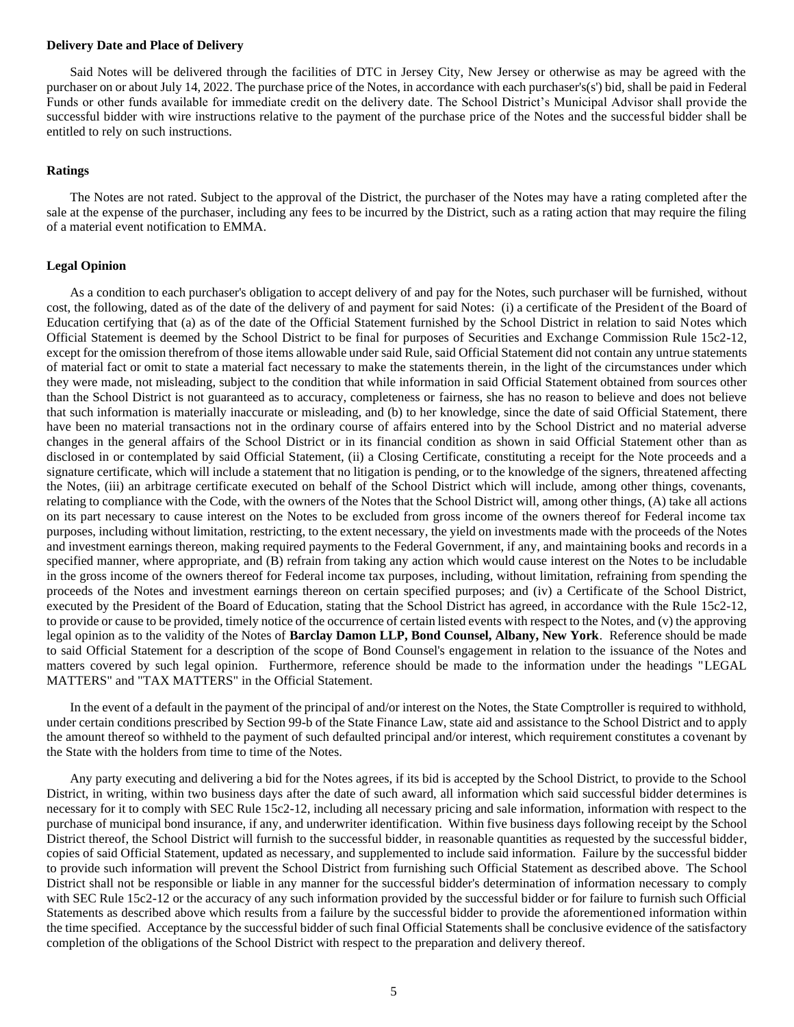#### **Delivery Date and Place of Delivery**

Said Notes will be delivered through the facilities of DTC in Jersey City, New Jersey or otherwise as may be agreed with the purchaser on or about July 14, 2022. The purchase price of the Notes, in accordance with each purchaser's(s') bid, shall be paid in Federal Funds or other funds available for immediate credit on the delivery date. The School District's Municipal Advisor shall provide the successful bidder with wire instructions relative to the payment of the purchase price of the Notes and the successful bidder shall be entitled to rely on such instructions.

#### **Ratings**

The Notes are not rated. Subject to the approval of the District, the purchaser of the Notes may have a rating completed after the sale at the expense of the purchaser, including any fees to be incurred by the District, such as a rating action that may require the filing of a material event notification to EMMA.

#### **Legal Opinion**

As a condition to each purchaser's obligation to accept delivery of and pay for the Notes, such purchaser will be furnished, without cost, the following, dated as of the date of the delivery of and payment for said Notes: (i) a certificate of the President of the Board of Education certifying that (a) as of the date of the Official Statement furnished by the School District in relation to said Notes which Official Statement is deemed by the School District to be final for purposes of Securities and Exchange Commission Rule 15c2-12, except for the omission therefrom of those items allowable under said Rule, said Official Statement did not contain any untrue statements of material fact or omit to state a material fact necessary to make the statements therein, in the light of the circumstances under which they were made, not misleading, subject to the condition that while information in said Official Statement obtained from sources other than the School District is not guaranteed as to accuracy, completeness or fairness, she has no reason to believe and does not believe that such information is materially inaccurate or misleading, and (b) to her knowledge, since the date of said Official Statement, there have been no material transactions not in the ordinary course of affairs entered into by the School District and no material adverse changes in the general affairs of the School District or in its financial condition as shown in said Official Statement other than as disclosed in or contemplated by said Official Statement, (ii) a Closing Certificate, constituting a receipt for the Note proceeds and a signature certificate, which will include a statement that no litigation is pending, or to the knowledge of the signers, threatened affecting the Notes, (iii) an arbitrage certificate executed on behalf of the School District which will include, among other things, covenants, relating to compliance with the Code, with the owners of the Notes that the School District will, among other things, (A) take all actions on its part necessary to cause interest on the Notes to be excluded from gross income of the owners thereof for Federal income tax purposes, including without limitation, restricting, to the extent necessary, the yield on investments made with the proceeds of the Notes and investment earnings thereon, making required payments to the Federal Government, if any, and maintaining books and records in a specified manner, where appropriate, and (B) refrain from taking any action which would cause interest on the Notes to be includable in the gross income of the owners thereof for Federal income tax purposes, including, without limitation, refraining from spending the proceeds of the Notes and investment earnings thereon on certain specified purposes; and (iv) a Certificate of the School District, executed by the President of the Board of Education, stating that the School District has agreed, in accordance with the Rule 15c2-12, to provide or cause to be provided, timely notice of the occurrence of certain listed events with respect to the Notes, and (v) the approving legal opinion as to the validity of the Notes of **Barclay Damon LLP, Bond Counsel, Albany, New York**. Reference should be made to said Official Statement for a description of the scope of Bond Counsel's engagement in relation to the issuance of the Notes and matters covered by such legal opinion. Furthermore, reference should be made to the information under the headings "LEGAL MATTERS" and "TAX MATTERS" in the Official Statement.

In the event of a default in the payment of the principal of and/or interest on the Notes, the State Comptroller is required to withhold, under certain conditions prescribed by Section 99-b of the State Finance Law, state aid and assistance to the School District and to apply the amount thereof so withheld to the payment of such defaulted principal and/or interest, which requirement constitutes a covenant by the State with the holders from time to time of the Notes.

Any party executing and delivering a bid for the Notes agrees, if its bid is accepted by the School District, to provide to the School District, in writing, within two business days after the date of such award, all information which said successful bidder determines is necessary for it to comply with SEC Rule 15c2-12, including all necessary pricing and sale information, information with respect to the purchase of municipal bond insurance, if any, and underwriter identification. Within five business days following receipt by the School District thereof, the School District will furnish to the successful bidder, in reasonable quantities as requested by the successful bidder, copies of said Official Statement, updated as necessary, and supplemented to include said information. Failure by the successful bidder to provide such information will prevent the School District from furnishing such Official Statement as described above. The School District shall not be responsible or liable in any manner for the successful bidder's determination of information necessary to comply with SEC Rule 15c2-12 or the accuracy of any such information provided by the successful bidder or for failure to furnish such Official Statements as described above which results from a failure by the successful bidder to provide the aforementioned information within the time specified. Acceptance by the successful bidder of such final Official Statements shall be conclusive evidence of the satisfactory completion of the obligations of the School District with respect to the preparation and delivery thereof.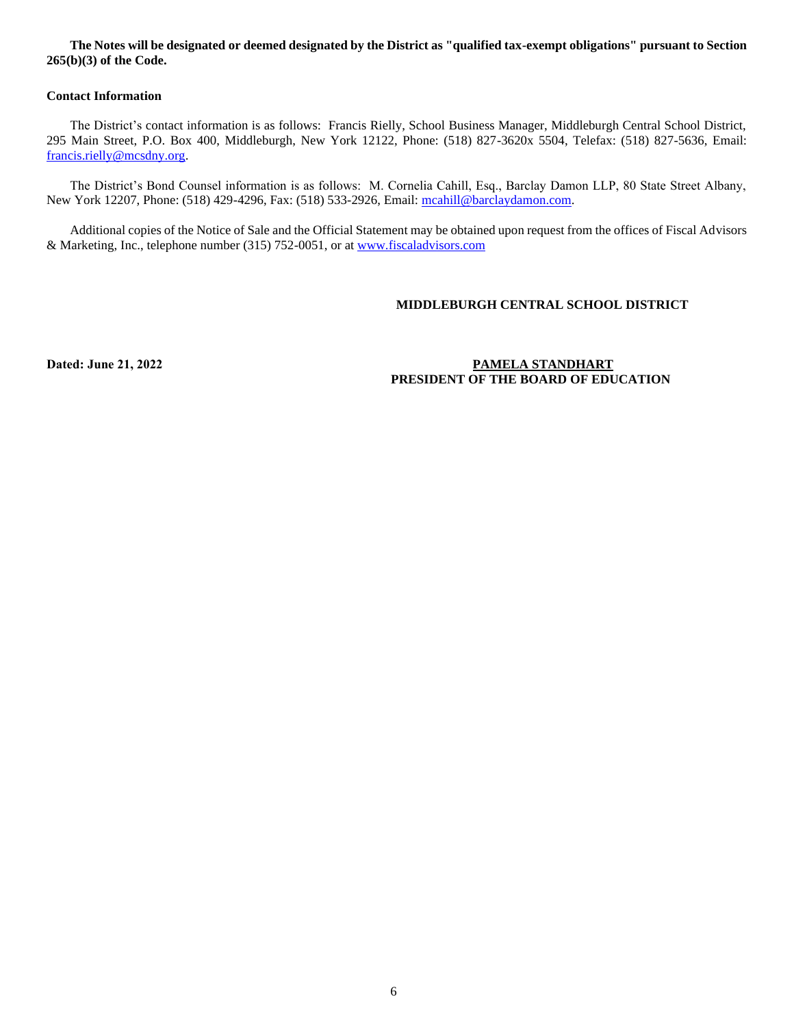#### **The Notes will be designated or deemed designated by the District as "qualified tax-exempt obligations" pursuant to Section 265(b)(3) of the Code.**

#### **Contact Information**

The District's contact information is as follows: Francis Rielly, School Business Manager, Middleburgh Central School District, 295 Main Street, P.O. Box 400, Middleburgh, New York 12122, Phone: (518) 827-3620x 5504, Telefax: (518) 827-5636, Email: [francis.rielly@mcsdny.org.](mailto:francis.rielly@mcsdny.org)

The District's Bond Counsel information is as follows: M. Cornelia Cahill, Esq., Barclay Damon LLP, 80 State Street Albany, New York 12207, Phone: (518) 429-4296, Fax: (518) 533-2926, Email: [mcahill@barclaydamon.com.](mailto:mcahill@barclaydamon.com)

Additional copies of the Notice of Sale and the Official Statement may be obtained upon request from the offices of Fiscal Advisors & Marketing, Inc., telephone number (315) 752-0051, or a[t www.fiscaladvisors.com](http://www.fiscaladvisors.com/)

### **MIDDLEBURGH CENTRAL SCHOOL DISTRICT**

### **Dated: June 21, 2022 PAMELA STANDHART PRESIDENT OF THE BOARD OF EDUCATION**